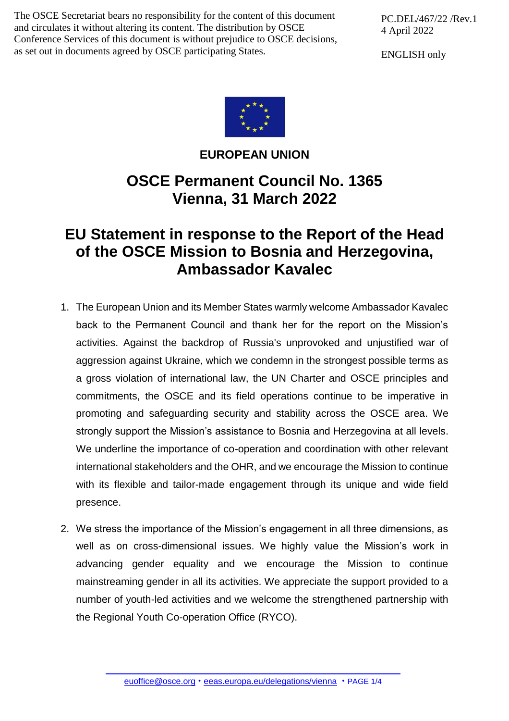The OSCE Secretariat bears no responsibility for the content of this document and circulates it without altering its content. The distribution by OSCE Conference Services of this document is without prejudice to OSCE decisions, as set out in documents agreed by OSCE participating States.

PC.DEL/467/22 /Rev.1 4 April 2022

ENGLISH only



## **EUROPEAN UNION**

## **OSCE Permanent Council No. 1365 Vienna, 31 March 2022**

## **EU Statement in response to the Report of the Head of the OSCE Mission to Bosnia and Herzegovina, Ambassador Kavalec**

- 1. The European Union and its Member States warmly welcome Ambassador Kavalec back to the Permanent Council and thank her for the report on the Mission's activities. Against the backdrop of Russia's unprovoked and unjustified war of aggression against Ukraine, which we condemn in the strongest possible terms as a gross violation of international law, the UN Charter and OSCE principles and commitments, the OSCE and its field operations continue to be imperative in promoting and safeguarding security and stability across the OSCE area. We strongly support the Mission's assistance to Bosnia and Herzegovina at all levels. We underline the importance of co-operation and coordination with other relevant international stakeholders and the OHR, and we encourage the Mission to continue with its flexible and tailor-made engagement through its unique and wide field presence.
- 2. We stress the importance of the Mission's engagement in all three dimensions, as well as on cross-dimensional issues. We highly value the Mission's work in advancing gender equality and we encourage the Mission to continue mainstreaming gender in all its activities. We appreciate the support provided to a number of youth-led activities and we welcome the strengthened partnership with the Regional Youth Co-operation Office (RYCO).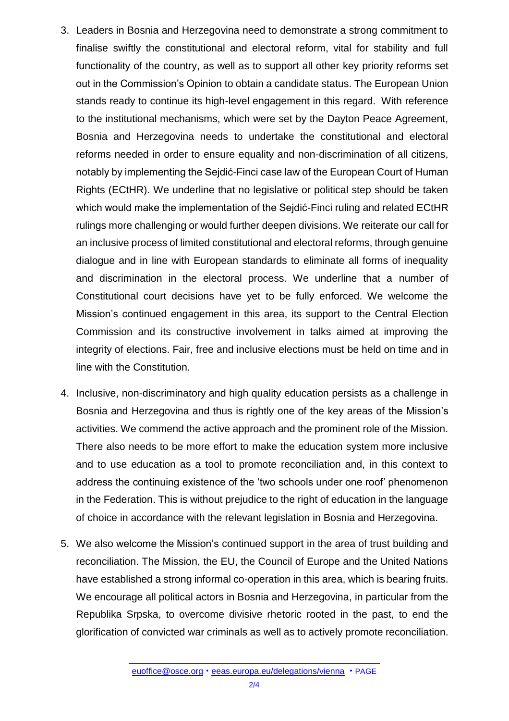- 3. Leaders in Bosnia and Herzegovina need to demonstrate a strong commitment to finalise swiftly the constitutional and electoral reform, vital for stability and full functionality of the country, as well as to support all other key priority reforms set out in the Commission's Opinion to obtain a candidate status. The European Union stands ready to continue its high-level engagement in this regard. With reference to the institutional mechanisms, which were set by the Dayton Peace Agreement, Bosnia and Herzegovina needs to undertake the constitutional and electoral reforms needed in order to ensure equality and non-discrimination of all citizens, notably by implementing the Sejdić-Finci case law of the European Court of Human Rights (ECtHR). We underline that no legislative or political step should be taken which would make the implementation of the Sejdić-Finci ruling and related ECtHR rulings more challenging or would further deepen divisions. We reiterate our call for an inclusive process of limited constitutional and electoral reforms, through genuine dialogue and in line with European standards to eliminate all forms of inequality and discrimination in the electoral process. We underline that a number of Constitutional court decisions have yet to be fully enforced. We welcome the Mission's continued engagement in this area, its support to the Central Election Commission and its constructive involvement in talks aimed at improving the integrity of elections. Fair, free and inclusive elections must be held on time and in line with the Constitution.
- 4. Inclusive, non-discriminatory and high quality education persists as a challenge in Bosnia and Herzegovina and thus is rightly one of the key areas of the Mission's activities. We commend the active approach and the prominent role of the Mission. There also needs to be more effort to make the education system more inclusive and to use education as a tool to promote reconciliation and, in this context to address the continuing existence of the 'two schools under one roof' phenomenon in the Federation. This is without prejudice to the right of education in the language of choice in accordance with the relevant legislation in Bosnia and Herzegovina.
- 5. We also welcome the Mission's continued support in the area of trust building and reconciliation. The Mission, the EU, the Council of Europe and the United Nations have established a strong informal co-operation in this area, which is bearing fruits. We encourage all political actors in Bosnia and Herzegovina, in particular from the Republika Srpska, to overcome divisive rhetoric rooted in the past, to end the glorification of convicted war criminals as well as to actively promote reconciliation.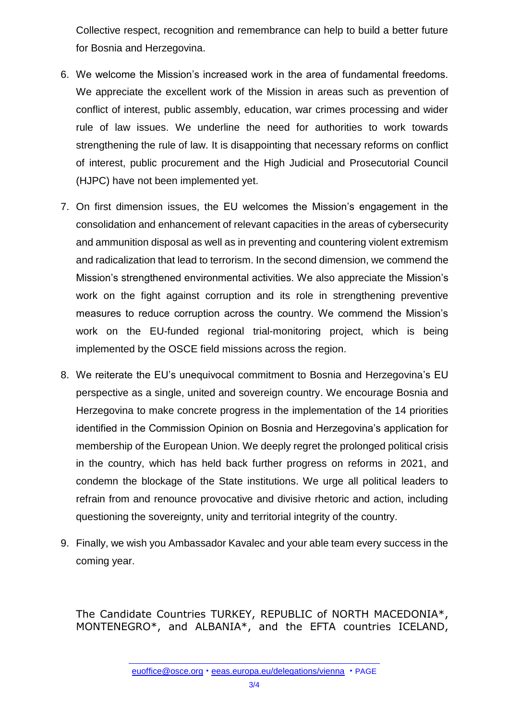Collective respect, recognition and remembrance can help to build a better future for Bosnia and Herzegovina.

- 6. We welcome the Mission's increased work in the area of fundamental freedoms. We appreciate the excellent work of the Mission in areas such as prevention of conflict of interest, public assembly, education, war crimes processing and wider rule of law issues. We underline the need for authorities to work towards strengthening the rule of law. It is disappointing that necessary reforms on conflict of interest, public procurement and the High Judicial and Prosecutorial Council (HJPC) have not been implemented yet.
- 7. On first dimension issues, the EU welcomes the Mission's engagement in the consolidation and enhancement of relevant capacities in the areas of cybersecurity and ammunition disposal as well as in preventing and countering violent extremism and radicalization that lead to terrorism. In the second dimension, we commend the Mission's strengthened environmental activities. We also appreciate the Mission's work on the fight against corruption and its role in strengthening preventive measures to reduce corruption across the country. We commend the Mission's work on the EU-funded regional trial-monitoring project, which is being implemented by the OSCE field missions across the region.
- 8. We reiterate the EU's unequivocal commitment to Bosnia and Herzegovina's EU perspective as a single, united and sovereign country. We encourage Bosnia and Herzegovina to make concrete progress in the implementation of the 14 priorities identified in the Commission Opinion on Bosnia and Herzegovina's application for membership of the European Union. We deeply regret the prolonged political crisis in the country, which has held back further progress on reforms in 2021, and condemn the blockage of the State institutions. We urge all political leaders to refrain from and renounce provocative and divisive rhetoric and action, including questioning the sovereignty, unity and territorial integrity of the country.
- 9. Finally, we wish you Ambassador Kavalec and your able team every success in the coming year.

The Candidate Countries TURKEY, REPUBLIC of NORTH MACEDONIA\*, MONTENEGRO\*, and ALBANIA\*, and the EFTA countries ICELAND,